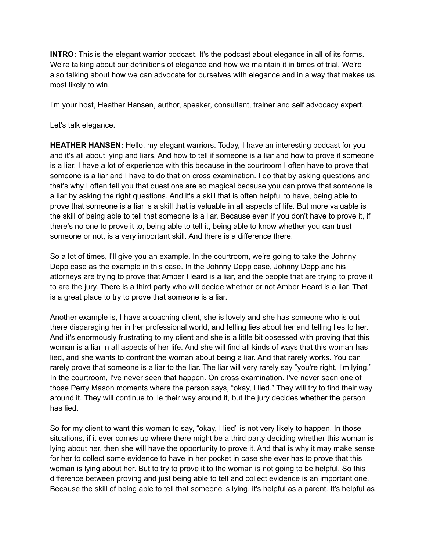**INTRO:** This is the elegant warrior podcast. It's the podcast about elegance in all of its forms. We're talking about our definitions of elegance and how we maintain it in times of trial. We're also talking about how we can advocate for ourselves with elegance and in a way that makes us most likely to win.

I'm your host, Heather Hansen, author, speaker, consultant, trainer and self advocacy expert.

Let's talk elegance.

**HEATHER HANSEN:** Hello, my elegant warriors. Today, I have an interesting podcast for you and it's all about lying and liars. And how to tell if someone is a liar and how to prove if someone is a liar. I have a lot of experience with this because in the courtroom I often have to prove that someone is a liar and I have to do that on cross examination. I do that by asking questions and that's why I often tell you that questions are so magical because you can prove that someone is a liar by asking the right questions. And it's a skill that is often helpful to have, being able to prove that someone is a liar is a skill that is valuable in all aspects of life. But more valuable is the skill of being able to tell that someone is a liar. Because even if you don't have to prove it, if there's no one to prove it to, being able to tell it, being able to know whether you can trust someone or not, is a very important skill. And there is a difference there.

So a lot of times, I'll give you an example. In the courtroom, we're going to take the Johnny Depp case as the example in this case. In the Johnny Depp case, Johnny Depp and his attorneys are trying to prove that Amber Heard is a liar, and the people that are trying to prove it to are the jury. There is a third party who will decide whether or not Amber Heard is a liar. That is a great place to try to prove that someone is a liar.

Another example is, I have a coaching client, she is lovely and she has someone who is out there disparaging her in her professional world, and telling lies about her and telling lies to her. And it's enormously frustrating to my client and she is a little bit obsessed with proving that this woman is a liar in all aspects of her life. And she will find all kinds of ways that this woman has lied, and she wants to confront the woman about being a liar. And that rarely works. You can rarely prove that someone is a liar to the liar. The liar will very rarely say "you're right, I'm lying." In the courtroom, I've never seen that happen. On cross examination. I've never seen one of those Perry Mason moments where the person says, "okay, I lied." They will try to find their way around it. They will continue to lie their way around it, but the jury decides whether the person has lied.

So for my client to want this woman to say, "okay, I lied" is not very likely to happen. In those situations, if it ever comes up where there might be a third party deciding whether this woman is lying about her, then she will have the opportunity to prove it. And that is why it may make sense for her to collect some evidence to have in her pocket in case she ever has to prove that this woman is lying about her. But to try to prove it to the woman is not going to be helpful. So this difference between proving and just being able to tell and collect evidence is an important one. Because the skill of being able to tell that someone is lying, it's helpful as a parent. It's helpful as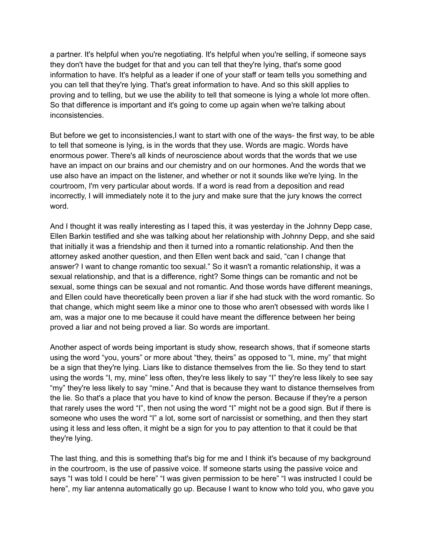a partner. It's helpful when you're negotiating. It's helpful when you're selling, if someone says they don't have the budget for that and you can tell that they're lying, that's some good information to have. It's helpful as a leader if one of your staff or team tells you something and you can tell that they're lying. That's great information to have. And so this skill applies to proving and to telling, but we use the ability to tell that someone is lying a whole lot more often. So that difference is important and it's going to come up again when we're talking about inconsistencies.

But before we get to inconsistencies, I want to start with one of the ways- the first way, to be able to tell that someone is lying, is in the words that they use. Words are magic. Words have enormous power. There's all kinds of neuroscience about words that the words that we use have an impact on our brains and our chemistry and on our hormones. And the words that we use also have an impact on the listener, and whether or not it sounds like we're lying. In the courtroom, I'm very particular about words. If a word is read from a deposition and read incorrectly, I will immediately note it to the jury and make sure that the jury knows the correct word.

And I thought it was really interesting as I taped this, it was yesterday in the Johnny Depp case, Ellen Barkin testified and she was talking about her relationship with Johnny Depp, and she said that initially it was a friendship and then it turned into a romantic relationship. And then the attorney asked another question, and then Ellen went back and said, "can I change that answer? I want to change romantic too sexual." So it wasn't a romantic relationship, it was a sexual relationship, and that is a difference, right? Some things can be romantic and not be sexual, some things can be sexual and not romantic. And those words have different meanings, and Ellen could have theoretically been proven a liar if she had stuck with the word romantic. So that change, which might seem like a minor one to those who aren't obsessed with words like I am, was a major one to me because it could have meant the difference between her being proved a liar and not being proved a liar. So words are important.

Another aspect of words being important is study show, research shows, that if someone starts using the word "you, yours" or more about "they, theirs" as opposed to "I, mine, my" that might be a sign that they're lying. Liars like to distance themselves from the lie. So they tend to start using the words "I, my, mine" less often, they're less likely to say "I" they're less likely to see say "my" they're less likely to say "mine." And that is because they want to distance themselves from the lie. So that's a place that you have to kind of know the person. Because if they're a person that rarely uses the word "I", then not using the word "I" might not be a good sign. But if there is someone who uses the word "I" a lot, some sort of narcissist or something, and then they start using it less and less often, it might be a sign for you to pay attention to that it could be that they're lying.

The last thing, and this is something that's big for me and I think it's because of my background in the courtroom, is the use of passive voice. If someone starts using the passive voice and says "I was told I could be here" "I was given permission to be here" "I was instructed I could be here", my liar antenna automatically go up. Because I want to know who told you, who gave you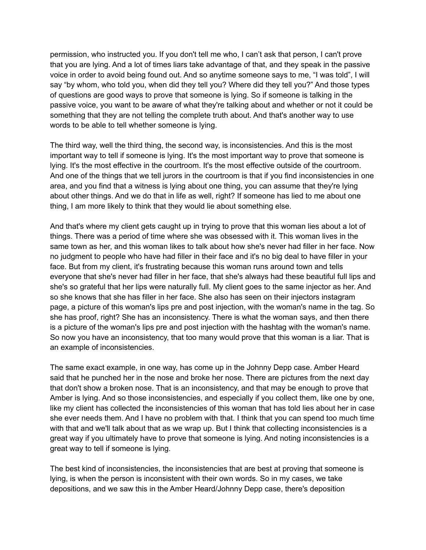permission, who instructed you. If you don't tell me who, I can't ask that person, I can't prove that you are lying. And a lot of times liars take advantage of that, and they speak in the passive voice in order to avoid being found out. And so anytime someone says to me, "I was told", I will say "by whom, who told you, when did they tell you? Where did they tell you?" And those types of questions are good ways to prove that someone is lying. So if someone is talking in the passive voice, you want to be aware of what they're talking about and whether or not it could be something that they are not telling the complete truth about. And that's another way to use words to be able to tell whether someone is lying.

The third way, well the third thing, the second way, is inconsistencies. And this is the most important way to tell if someone is lying. It's the most important way to prove that someone is lying. It's the most effective in the courtroom. It's the most effective outside of the courtroom. And one of the things that we tell jurors in the courtroom is that if you find inconsistencies in one area, and you find that a witness is lying about one thing, you can assume that they're lying about other things. And we do that in life as well, right? If someone has lied to me about one thing, I am more likely to think that they would lie about something else.

And that's where my client gets caught up in trying to prove that this woman lies about a lot of things. There was a period of time where she was obsessed with it. This woman lives in the same town as her, and this woman likes to talk about how she's never had filler in her face. Now no judgment to people who have had filler in their face and it's no big deal to have filler in your face. But from my client, it's frustrating because this woman runs around town and tells everyone that she's never had filler in her face, that she's always had these beautiful full lips and she's so grateful that her lips were naturally full. My client goes to the same injector as her. And so she knows that she has filler in her face. She also has seen on their injectors instagram page, a picture of this woman's lips pre and post injection, with the woman's name in the tag. So she has proof, right? She has an inconsistency. There is what the woman says, and then there is a picture of the woman's lips pre and post injection with the hashtag with the woman's name. So now you have an inconsistency, that too many would prove that this woman is a liar. That is an example of inconsistencies.

The same exact example, in one way, has come up in the Johnny Depp case. Amber Heard said that he punched her in the nose and broke her nose. There are pictures from the next day that don't show a broken nose. That is an inconsistency, and that may be enough to prove that Amber is lying. And so those inconsistencies, and especially if you collect them, like one by one, like my client has collected the inconsistencies of this woman that has told lies about her in case she ever needs them. And I have no problem with that. I think that you can spend too much time with that and we'll talk about that as we wrap up. But I think that collecting inconsistencies is a great way if you ultimately have to prove that someone is lying. And noting inconsistencies is a great way to tell if someone is lying.

The best kind of inconsistencies, the inconsistencies that are best at proving that someone is lying, is when the person is inconsistent with their own words. So in my cases, we take depositions, and we saw this in the Amber Heard/Johnny Depp case, there's deposition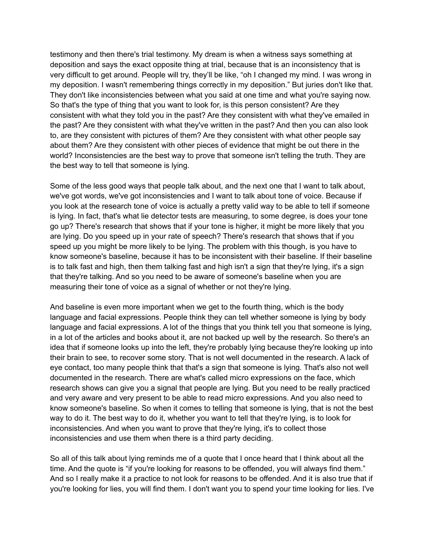testimony and then there's trial testimony. My dream is when a witness says something at deposition and says the exact opposite thing at trial, because that is an inconsistency that is very difficult to get around. People will try, they'll be like, "oh I changed my mind. I was wrong in my deposition. I wasn't remembering things correctly in my deposition." But juries don't like that. They don't like inconsistencies between what you said at one time and what you're saying now. So that's the type of thing that you want to look for, is this person consistent? Are they consistent with what they told you in the past? Are they consistent with what they've emailed in the past? Are they consistent with what they've written in the past? And then you can also look to, are they consistent with pictures of them? Are they consistent with what other people say about them? Are they consistent with other pieces of evidence that might be out there in the world? Inconsistencies are the best way to prove that someone isn't telling the truth. They are the best way to tell that someone is lying.

Some of the less good ways that people talk about, and the next one that I want to talk about, we've got words, we've got inconsistencies and I want to talk about tone of voice. Because if you look at the research tone of voice is actually a pretty valid way to be able to tell if someone is lying. In fact, that's what lie detector tests are measuring, to some degree, is does your tone go up? There's research that shows that if your tone is higher, it might be more likely that you are lying. Do you speed up in your rate of speech? There's research that shows that if you speed up you might be more likely to be lying. The problem with this though, is you have to know someone's baseline, because it has to be inconsistent with their baseline. If their baseline is to talk fast and high, then them talking fast and high isn't a sign that they're lying, it's a sign that they're talking. And so you need to be aware of someone's baseline when you are measuring their tone of voice as a signal of whether or not they're lying.

And baseline is even more important when we get to the fourth thing, which is the body language and facial expressions. People think they can tell whether someone is lying by body language and facial expressions. A lot of the things that you think tell you that someone is lying, in a lot of the articles and books about it, are not backed up well by the research. So there's an idea that if someone looks up into the left, they're probably lying because they're looking up into their brain to see, to recover some story. That is not well documented in the research. A lack of eye contact, too many people think that that's a sign that someone is lying. That's also not well documented in the research. There are what's called micro expressions on the face, which research shows can give you a signal that people are lying. But you need to be really practiced and very aware and very present to be able to read micro expressions. And you also need to know someone's baseline. So when it comes to telling that someone is lying, that is not the best way to do it. The best way to do it, whether you want to tell that they're lying, is to look for inconsistencies. And when you want to prove that they're lying, it's to collect those inconsistencies and use them when there is a third party deciding.

So all of this talk about lying reminds me of a quote that I once heard that I think about all the time. And the quote is "if you're looking for reasons to be offended, you will always find them." And so I really make it a practice to not look for reasons to be offended. And it is also true that if you're looking for lies, you will find them. I don't want you to spend your time looking for lies. I've